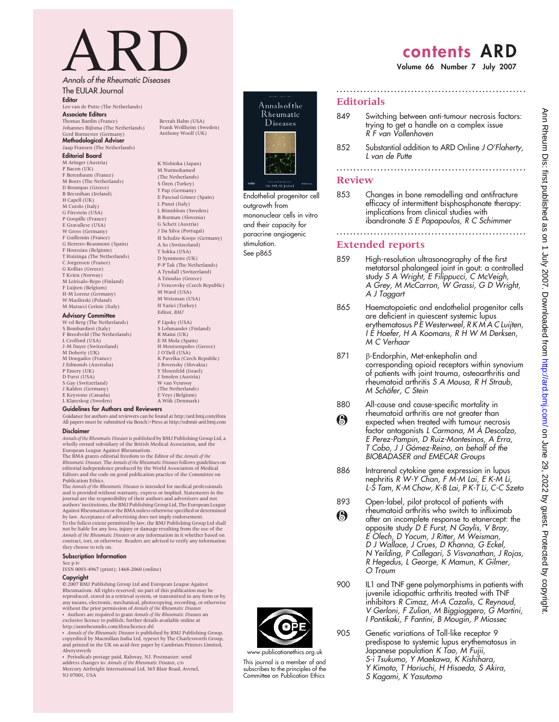# ARD<br>Annals of the Rheumatic Diseases

The EULAR Journal

Editor Leo van de Putte (The Netherlands) Associate Editors Thomas Bardin (France)

#### Johannes Bijlsma (The Netherlands) Gerd Burmester (Germany) Methodological Adviser Jaap Fransen (The Netherlands)

#### Editorial Board

M Aringer (Austria) P Bacon (UK) F Berenbaum (France) M Boers (The Netherlands) D Boumpas (Greece) B Bresnihan (Ireland) H Capell (UK) M Cutolo (Italy) G Firestein (HSA) P Goupille (France) E Gravallese (USA) W Gross (Germany) F Guillemin (France) G Herrero-Beaumont (Spain) F Houssiau (Belgium) T Huizinga (The Netherlands) C Jorgensen (France) G Kollias (Greece) T Kvien (Norway) M Leirisalo-Repo (Finland) F Luijten (Belgium) H-M Lorenz (Germany) W Maslinski (Poland) M Matucci Cerinic (Italy)

#### **Advisory Committee**

W vd Berg (The Netherlands) S Bombardieri (Italy) F Breedveld (The Netherlands) L Crofford (USA) J-M Dayer (Switzerland) M Doherty (UK) M Dougados (France) J Edmonds (Australia) P Emery (UK) D Furst (USA) S Gay (Switzerland) J Kalden (Germany) E Keystone (Canada) L Klareskog (Sweden)

(The Netherlands)  $\overline{S}$  Özen (Turkey) T Pap (Germany) E Pascual Go´mez (Spain) L Punzi (Italy) L Rönnblom (Sweden) B Rozman (Slovenia) G Schett (Austria) J Da Silva (Portugal) H Schulze-Koops (Germany) A So (Switzerland) T Sokka (USA) D Symmons (UK) P-P Tak (The Netherlands) A Tyndall (Switzerland) A Tzioufas (Greece) J Vencovsky (Czech Republic) M Ward (USA) M Weisman (USA) H Yazici (Turkey)<br>Editor *BM* I P Lipsky (USA) S Lohmander (Finland) R Maini (UK) E M Mola (Spain) H Moutsoupolos (Greece) J O'Dell (USA) K Pavelka (Czech Republic) J Rovensky (Slovakia) Y Shoenfeld (Israel) J Smolen (Austria) W van Venrooy

(The Netherlands) E Veys (Belgium)

Bevrah Hahn (USA) Frank Wollheim (Sweden) Anthony Woolf (UK)

K Nishioka (Japan) M Nurmohamed



Endothelial progenitor cell outgrowth from mononuclear cells in vitro and their capacity for paracrine angiogenic stimulation. See p865

## contents ARD

Volume 66 Number 7 July 2007

#### **Editorials**

849 Switching between anti-tumour necrosis factors: trying to get a handle on a complex issue R F van Vollenhoven

........................................................

852 Substantial addition to ARD Online J O'Flaherty, L van de Putte ........................................................

#### Review

853 Changes in bone remodelling and antifracture efficacy of intermittent bisphosphonate therapy: implications from clinical studies with ibandronate S E Papapoulos, R C Schimmer

........................................................

### Extended reports

- 859 High-resolution ultrasonography of the first metatarsal phalangeal joint in gout: a controlled study S A Wright, E Filippucci, C McVeigh, A Grey, M McCarron, W Grassi, G D Wright, A J Taggart
- 865 Haematopoietic and endothelial progenitor cells are deficient in quiescent systemic lupus erythematosus P E Westerweel, R K M A C Luijten, I E Hoefer, H A Koomans, R H W M Derksen, M C Verhaar
- 871 B-Endorphin, Met-enkephalin and corresponding opioid receptors within synovium of patients with joint trauma, osteoarthritis and rheumatoid arthritis S A Mousa, R H Straub, M Schäfer, C Stein
- 880 All-cause and cause-specific mortality in rheumatoid arthritis are not greater than  $\odot$ expected when treated with tumour necrosis factor antagonists L Carmona, M Á Descalzo, E Perez-Pampin, D Ruiz-Montesinos, A Erra, T Cobo, J J Gómez-Reino, on behalf of the BIOBADASER and EMECAR Groups
- 886 Intrarenal cytokine gene expression in lupus nephritis R W-Y Chan, F M-M Lai, E K-M Li, L-S Tam, K-M Chow, K-B Lai, P K-T Li, C-C Szeto
- 893 Open-label, pilot protocol of patients with rheumatoid arthritis who switch to infliximab  $\bigcirc$ after an incomplete response to etanercept: the opposite study D E Furst, N Gaylis, V Bray, E Olech, D Yocum, J Ritter, M Weisman, D J Wallace, J Crues, D Khanna, G Eckel, N Yeilding, P Callegari, S Visvanathan, J Rojas, R Hegedus, L George, K Mamun, K Gilmer, O Troum
- 900 IL1 and TNF gene polymorphisms in patients with juvenile idiopathic arthritis treated with TNF inhibitors R Cimaz, M-A Cazalis, C Reynaud, V Gerloni, F Zulian, M Biggioggero, G Martini, I Pontikaki, F Fantini, B Mougin, P Miossec
- 905 Genetic variations of Toll-like receptor 9 predispose to systemic lupus erythematosus in Japanese population K Tao, M Fujii, S-i Tsukumo, Y Maekawa, K Kishihara, Y Kimoto, T Horiuchi, H Hisaeda, S Akira, S Kagami, K Yasutomo

#### A Wiik (Denmark) Guidelines for Authors and Reviewers

Guidance for authors and reviewers can be found at http://ard.bmj.com/ifora All papers must be submitted via Bench.Press at http://submit-ard.bmj.com Disclaimer

Annals of the Rheumatic Diseasesis published by BMJ Publishing Group Ltd, a wholly owned subsidiary of the British Medical Association, and the

European League Against Rheumatism.<br>The BMA grants editorial freedom to the Editor of the *Annals of the*<br>R*heumatic Diseases.* The *Annals of the Rheumatic Diseases f*ollows guidelines on editorial independence produced by the World Association of Medical Editors and the code on good publication practice of the Committee on Publication Ethics.

The Annals of the Rheumatic Diseases is intended for medical professionals and is provided without warranty, express or implied. Statements in the journal are the responsibility of their authors and advertisers and not authors' institutions, the BMJ Publishing Group Ltd, The European League Against Rheumatism or the BMA unless otherwise specified or determined by law. Acceptance of advertising does not imply endorsement. To the fullest extent permitted by law, the BMJ Publishing Group Ltd shall not be liable for any loss, injury or damage resulting from the use of the Annals of the Rheumatic Diseases or any information in it whether based on contract, tort, or otherwise. Readers are advised to verify any information they choose to rely on.

#### Subscription Information

See p iv

ISSN 0003-4967 (print); 1468-2060 (online)

#### Copyright

E 2007 BMJ Publishing Group Ltd and European League Against Rheumatism. All rights reserved; no part of this publication may be reproduced, stored in a retrieval system, or transmitted in any form or by any means, electronic, mechanical, photocopying, recording, or otherwise<br>without the prior permission of Annals of the Rheumatic Diseases • Authors are required to grant Annals of the Rheumatic Diseases an<br>exclusive licence to publish; further details available online at<br>http://annrheumdis.com/ifora/licence.dtl

• Annals of the Rheumatic Diseases is published by BMJ Publishing Group, copyedited by Macmillan India Ltd, typeset by The Charlesworth Group, and printed in the UK on acid-free paper by Cambrian Printers Limited, Aberystwyth N Periodicals postage paid, Rahway, NJ. Postmaster: send

address changes to: Annals of the Rheumatic Diseases, c/ Mercury Airfreight International Ltd, 365 Blair Road, Avenel, NJ 07001, USA



This journal is a member of and subscribes to the principles of the Committee on Publication Ethics